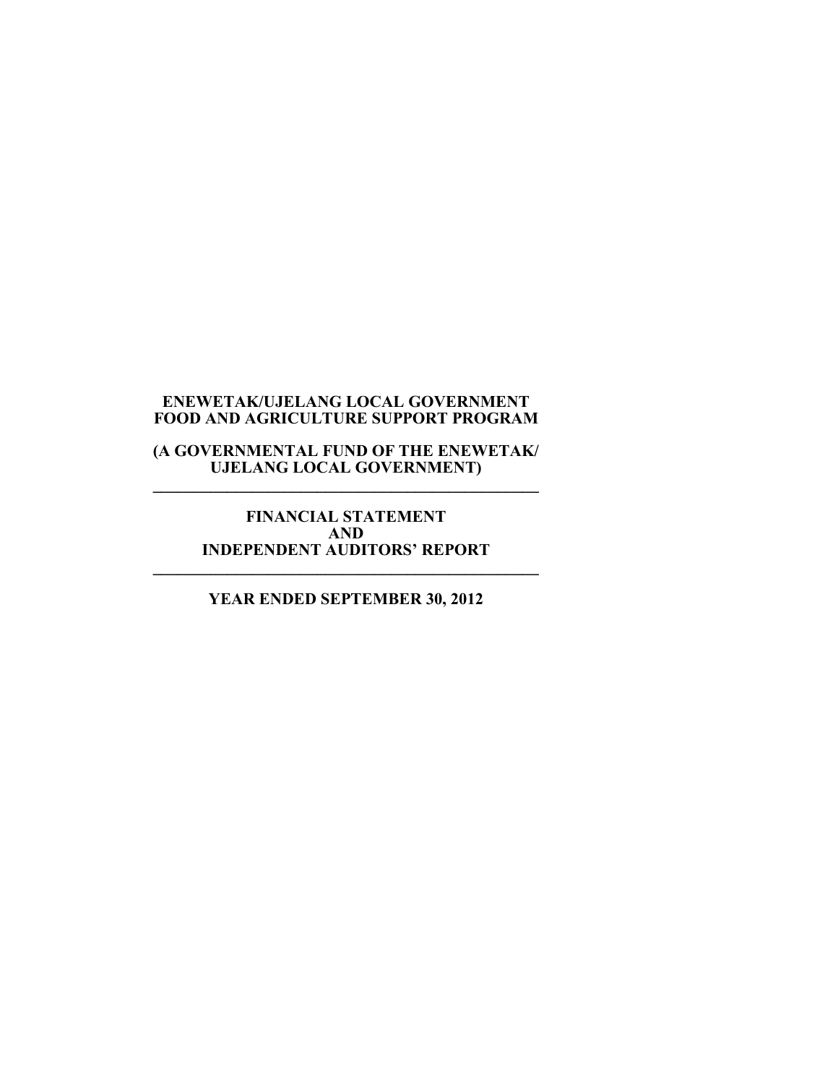**(A GOVERNMENTAL FUND OF THE ENEWETAK/ UJELANG LOCAL GOVERNMENT) \_\_\_\_\_\_\_\_\_\_\_\_\_\_\_\_\_\_\_\_\_\_\_\_\_\_\_\_\_\_\_\_\_\_\_\_\_\_\_\_\_\_\_\_\_\_\_** 

**FINANCIAL STATEMENT AND INDEPENDENT AUDITORS' REPORT \_\_\_\_\_\_\_\_\_\_\_\_\_\_\_\_\_\_\_\_\_\_\_\_\_\_\_\_\_\_\_\_\_\_\_\_\_\_\_\_\_\_\_\_\_\_\_** 

## **YEAR ENDED SEPTEMBER 30, 2012**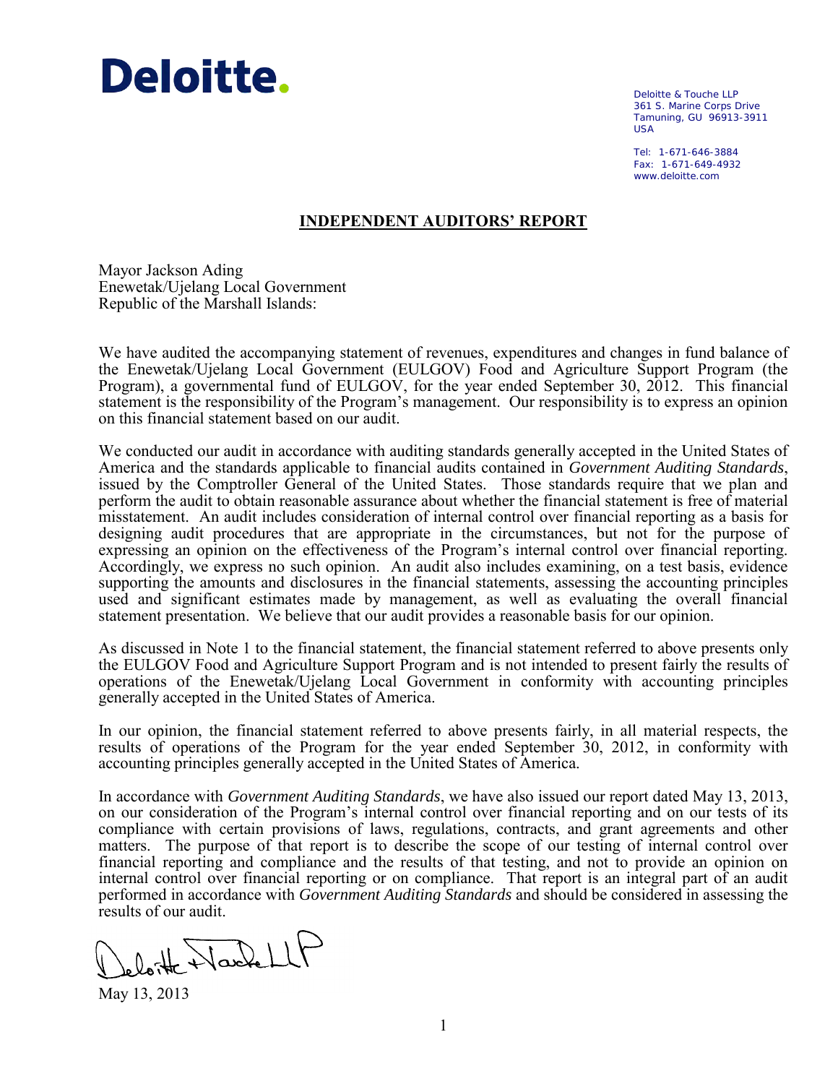

Deloitte & Touche LLP 361 S. Marine Corps Drive Tamuning, GU 96913-3911 USA

Tel: 1-671-646-3884 Fax: 1-671-649-4932 www.deloitte.com

### **INDEPENDENT AUDITORS' REPORT**

Mayor Jackson Ading Enewetak/Ujelang Local Government Republic of the Marshall Islands:

We have audited the accompanying statement of revenues, expenditures and changes in fund balance of the Enewetak/Ujelang Local Government (EULGOV) Food and Agriculture Support Program (the Program), a governmental fund of EULGOV, for the year ended September 30, 2012. This financial statement is the responsibility of the Program's management. Our responsibility is to express an opinion on this financial statement based on our audit.

We conducted our audit in accordance with auditing standards generally accepted in the United States of America and the standards applicable to financial audits contained in *Government Auditing Standards*, issued by the Comptroller General of the United States. Those standards require that we plan and perform the audit to obtain reasonable assurance about whether the financial statement is free of material misstatement. An audit includes consideration of internal control over financial reporting as a basis for designing audit procedures that are appropriate in the circumstances, but not for the purpose of expressing an opinion on the effectiveness of the Program's internal control over financial reporting. Accordingly, we express no such opinion. An audit also includes examining, on a test basis, evidence supporting the amounts and disclosures in the financial statements, assessing the accounting principles used and significant estimates made by management, as well as evaluating the overall financial statement presentation. We believe that our audit provides a reasonable basis for our opinion.

As discussed in Note 1 to the financial statement, the financial statement referred to above presents only the EULGOV Food and Agriculture Support Program and is not intended to present fairly the results of operations of the Enewetak/Ujelang Local Government in conformity with accounting principles generally accepted in the United States of America.

In our opinion, the financial statement referred to above presents fairly, in all material respects, the results of operations of the Program for the year ended September 30, 2012, in conformity with accounting principles generally accepted in the United States of America.

In accordance with *Government Auditing Standards*, we have also issued our report dated May 13, 2013, on our consideration of the Program's internal control over financial reporting and on our tests of its compliance with certain provisions of laws, regulations, contracts, and grant agreements and other matters. The purpose of that report is to describe the scope of our testing of internal control over financial reporting and compliance and the results of that testing, and not to provide an opinion on internal control over financial reporting or on compliance. That report is an integral part of an audit performed in accordance with *Government Auditing Standards* and should be considered in assessing the results of our audit.

lotte Wackell

May 13, 2013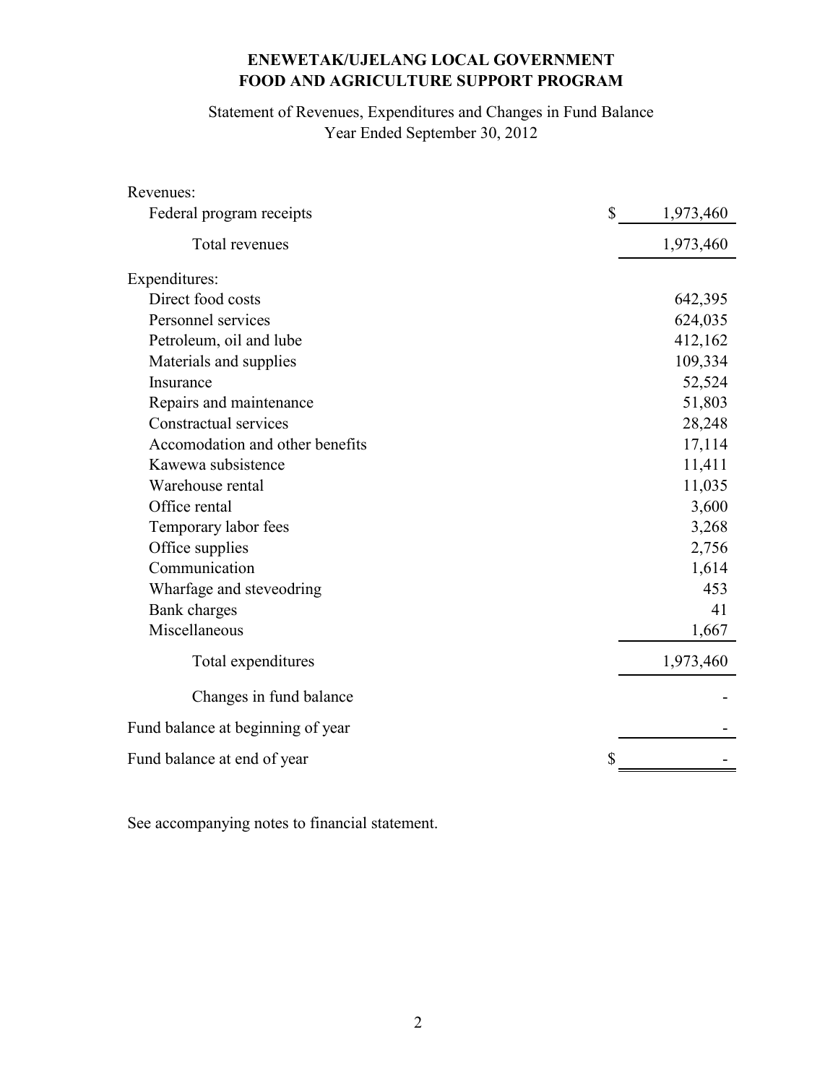Statement of Revenues, Expenditures and Changes in Fund Balance Year Ended September 30, 2012

| Revenues:                         |              |           |
|-----------------------------------|--------------|-----------|
| Federal program receipts          | $\mathbb{S}$ | 1,973,460 |
| Total revenues                    |              | 1,973,460 |
| Expenditures:                     |              |           |
| Direct food costs                 |              | 642,395   |
| Personnel services                |              | 624,035   |
| Petroleum, oil and lube           |              | 412,162   |
| Materials and supplies            |              | 109,334   |
| Insurance                         |              | 52,524    |
| Repairs and maintenance           |              | 51,803    |
| Constractual services             |              | 28,248    |
| Accomodation and other benefits   |              | 17,114    |
| Kawewa subsistence                |              | 11,411    |
| Warehouse rental                  |              | 11,035    |
| Office rental                     |              | 3,600     |
| Temporary labor fees              |              | 3,268     |
| Office supplies                   |              | 2,756     |
| Communication                     |              | 1,614     |
| Wharfage and steveodring          |              | 453       |
| Bank charges                      |              | 41        |
| Miscellaneous                     |              | 1,667     |
| Total expenditures                |              | 1,973,460 |
| Changes in fund balance           |              |           |
| Fund balance at beginning of year |              |           |
| Fund balance at end of year       |              |           |

See accompanying notes to financial statement.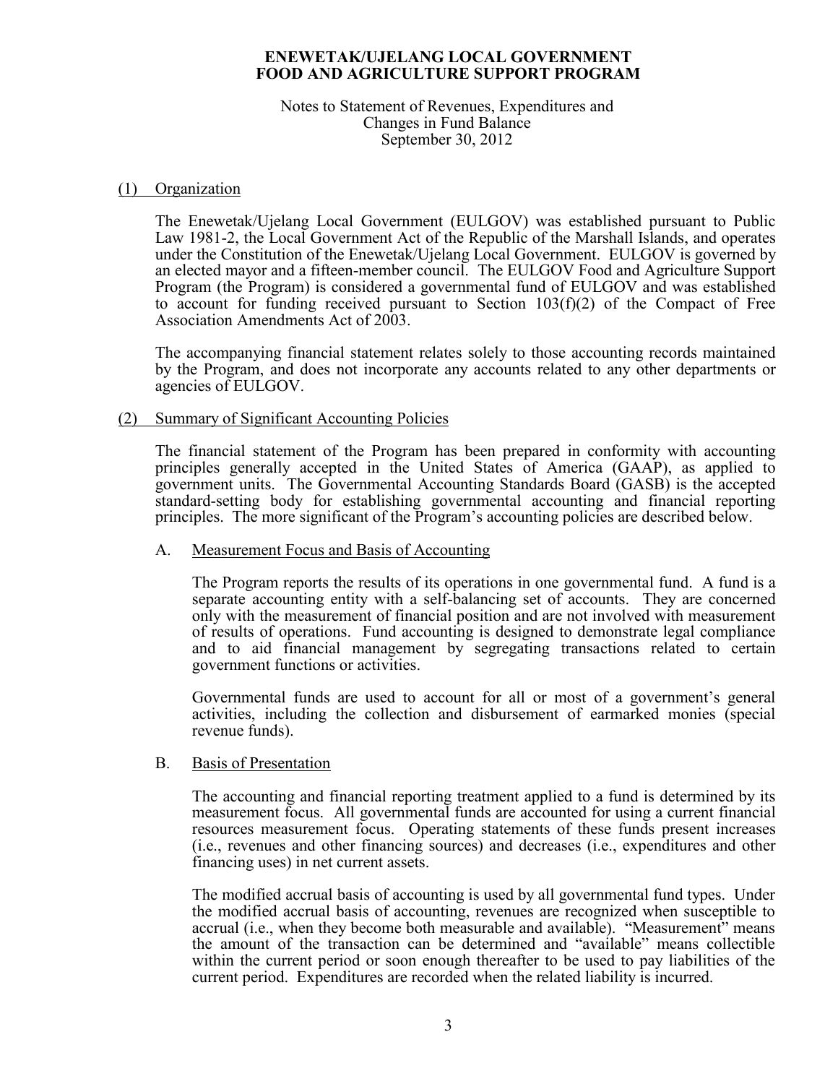#### Notes to Statement of Revenues, Expenditures and Changes in Fund Balance September 30, 2012

#### (1) Organization

 The Enewetak/Ujelang Local Government (EULGOV) was established pursuant to Public Law 1981-2, the Local Government Act of the Republic of the Marshall Islands, and operates under the Constitution of the Enewetak/Ujelang Local Government. EULGOV is governed by an elected mayor and a fifteen-member council. The EULGOV Food and Agriculture Support Program (the Program) is considered a governmental fund of EULGOV and was established to account for funding received pursuant to Section 103(f)(2) of the Compact of Free Association Amendments Act of 2003.

The accompanying financial statement relates solely to those accounting records maintained by the Program, and does not incorporate any accounts related to any other departments or agencies of EULGOV.

#### (2) Summary of Significant Accounting Policies

 The financial statement of the Program has been prepared in conformity with accounting principles generally accepted in the United States of America (GAAP), as applied to government units. The Governmental Accounting Standards Board (GASB) is the accepted standard-setting body for establishing governmental accounting and financial reporting principles. The more significant of the Program's accounting policies are described below.

#### A. Measurement Focus and Basis of Accounting

The Program reports the results of its operations in one governmental fund. A fund is a separate accounting entity with a self-balancing set of accounts. They are concerned only with the measurement of financial position and are not involved with measurement of results of operations. Fund accounting is designed to demonstrate legal compliance and to aid financial management by segregating transactions related to certain government functions or activities.

Governmental funds are used to account for all or most of a government's general activities, including the collection and disbursement of earmarked monies (special revenue funds).

#### B. Basis of Presentation

The accounting and financial reporting treatment applied to a fund is determined by its measurement focus. All governmental funds are accounted for using a current financial resources measurement focus. Operating statements of these funds present increases (i.e., revenues and other financing sources) and decreases (i.e., expenditures and other financing uses) in net current assets.

The modified accrual basis of accounting is used by all governmental fund types. Under the modified accrual basis of accounting, revenues are recognized when susceptible to accrual (i.e., when they become both measurable and available). "Measurement" means the amount of the transaction can be determined and "available" means collectible within the current period or soon enough thereafter to be used to pay liabilities of the current period. Expenditures are recorded when the related liability is incurred.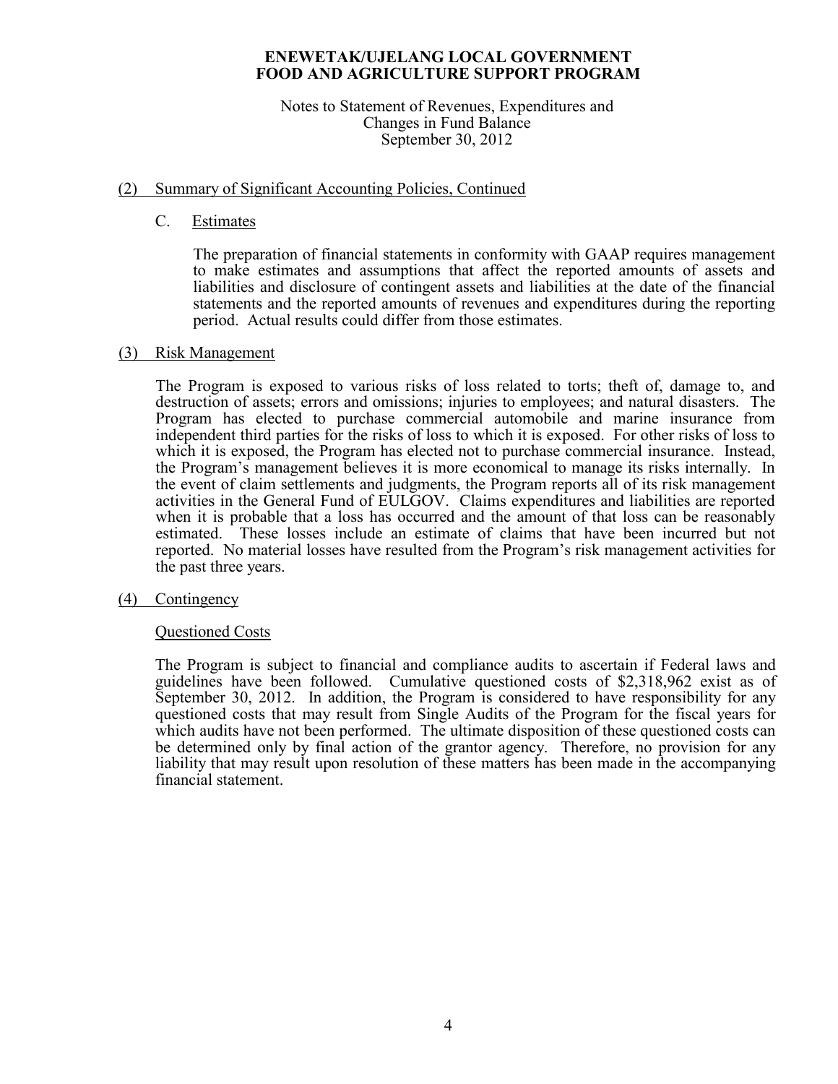#### Notes to Statement of Revenues, Expenditures and Changes in Fund Balance September 30, 2012

## (2) Summary of Significant Accounting Policies, Continued

## C. Estimates

 The preparation of financial statements in conformity with GAAP requires management to make estimates and assumptions that affect the reported amounts of assets and liabilities and disclosure of contingent assets and liabilities at the date of the financial statements and the reported amounts of revenues and expenditures during the reporting period. Actual results could differ from those estimates.

## (3) Risk Management

The Program is exposed to various risks of loss related to torts; theft of, damage to, and destruction of assets; errors and omissions; injuries to employees; and natural disasters. The Program has elected to purchase commercial automobile and marine insurance from independent third parties for the risks of loss to which it is exposed. For other risks of loss to which it is exposed, the Program has elected not to purchase commercial insurance. Instead, the Program's management believes it is more economical to manage its risks internally. In the event of claim settlements and judgments, the Program reports all of its risk management activities in the General Fund of EULGOV. Claims expenditures and liabilities are reported when it is probable that a loss has occurred and the amount of that loss can be reasonably estimated. These losses include an estimate of claims that have been incurred but not reported. No material losses have resulted from the Program's risk management activities for the past three years.

## (4) Contingency

## Questioned Costs

 The Program is subject to financial and compliance audits to ascertain if Federal laws and guidelines have been followed. Cumulative questioned costs of \$2,318,962 exist as of September 30, 2012. In addition, the Program is considered to have responsibility for any questioned costs that may result from Single Audits of the Program for the fiscal years for which audits have not been performed. The ultimate disposition of these questioned costs can be determined only by final action of the grantor agency. Therefore, no provision for any liability that may result upon resolution of these matters has been made in the accompanying financial statement.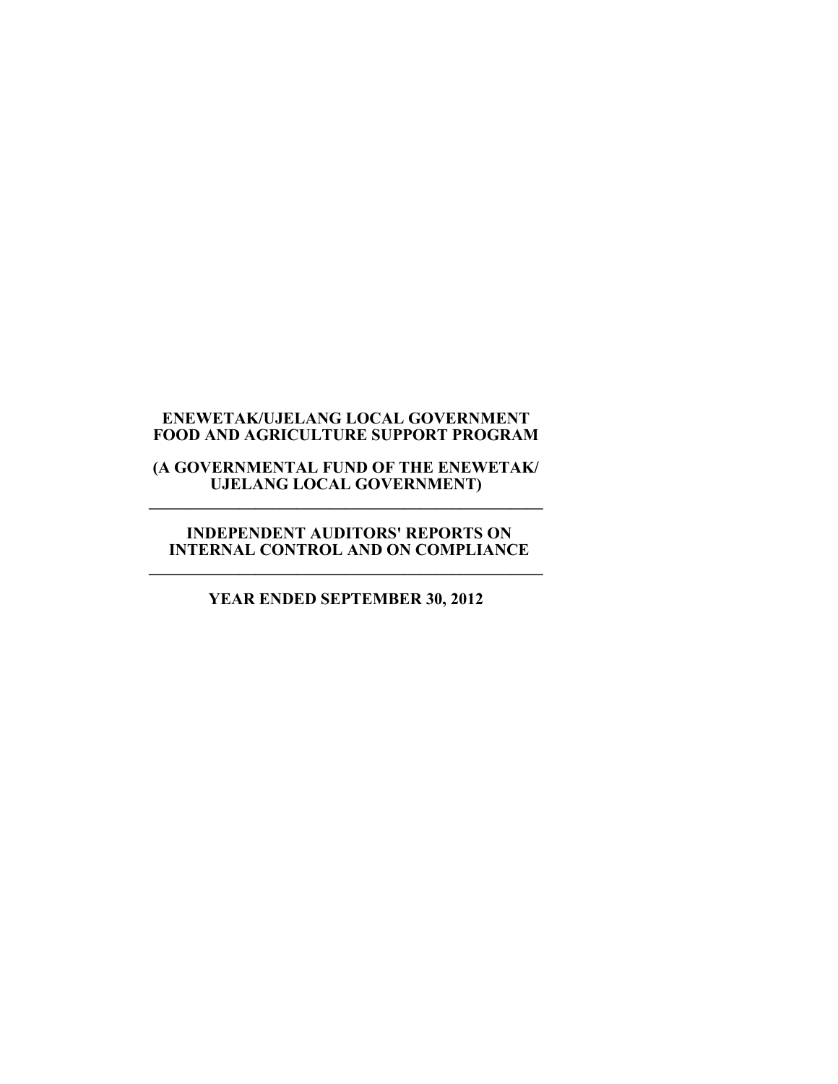#### **(A GOVERNMENTAL FUND OF THE ENEWETAK/ UJELANG LOCAL GOVERNMENT) \_\_\_\_\_\_\_\_\_\_\_\_\_\_\_\_\_\_\_\_\_\_\_\_\_\_\_\_\_\_\_\_\_\_\_\_\_\_\_\_\_\_\_\_\_\_\_\_**

#### **INDEPENDENT AUDITORS' REPORTS ON INTERNAL CONTROL AND ON COMPLIANCE \_\_\_\_\_\_\_\_\_\_\_\_\_\_\_\_\_\_\_\_\_\_\_\_\_\_\_\_\_\_\_\_\_\_\_\_\_\_\_\_\_\_\_\_\_\_\_\_**

# **YEAR ENDED SEPTEMBER 30, 2012**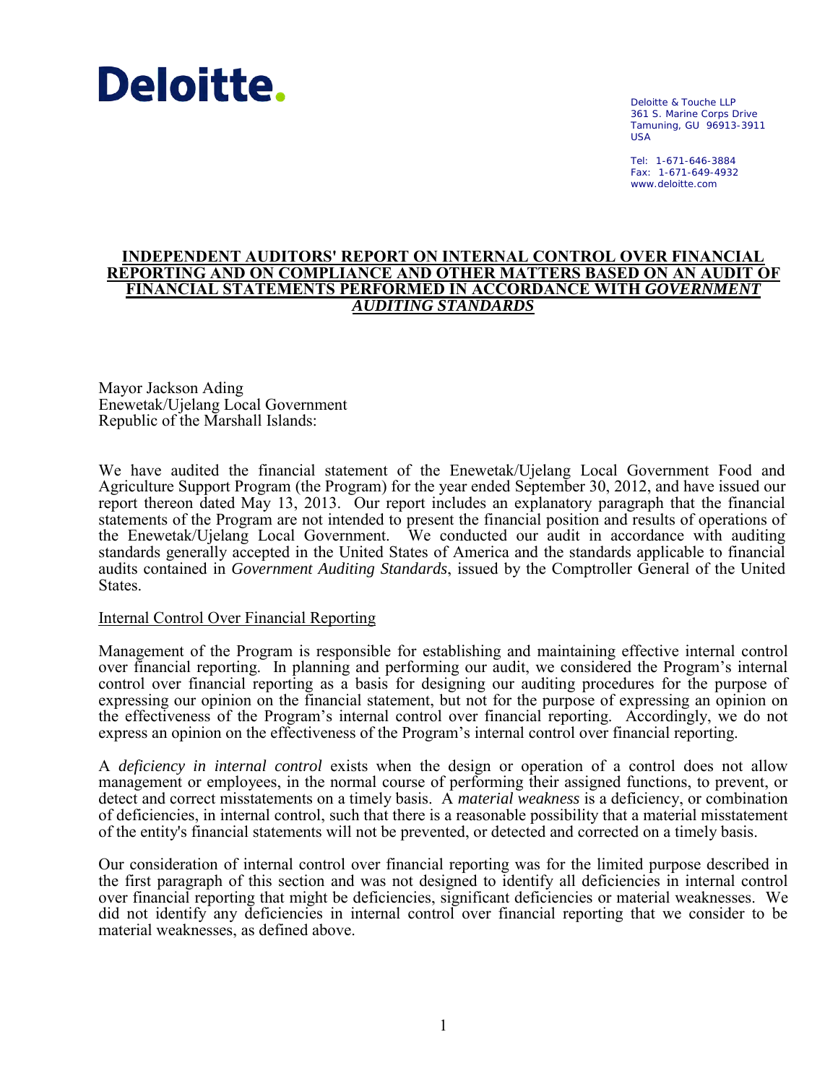

Deloitte & Touche LLP 361 S. Marine Corps Drive Tamuning, GU 96913-3911 USA

Tel: 1-671-646-3884 Fax: 1-671-649-4932 www.deloitte.com

#### **INDEPENDENT AUDITORS' REPORT ON INTERNAL CONTROL OVER FINANCIAL REPORTING AND ON COMPLIANCE AND OTHER MATTERS BASED ON AN AUDIT OF FINANCIAL STATEMENTS PERFORMED IN ACCORDANCE WITH** *GOVERNMENT AUDITING STANDARDS*

Mayor Jackson Ading Enewetak/Ujelang Local Government Republic of the Marshall Islands:

We have audited the financial statement of the Enewetak/Ujelang Local Government Food and Agriculture Support Program (the Program) for the year ended September 30, 2012, and have issued our report thereon dated May 13, 2013. Our report includes an explanatory paragraph that the financial statements of the Program are not intended to present the financial position and results of operations of the Enewetak/Ujelang Local Government. We conducted our audit in accordance with auditing standards generally accepted in the United States of America and the standards applicable to financial audits contained in *Government Auditing Standards*, issued by the Comptroller General of the United States.

#### Internal Control Over Financial Reporting

Management of the Program is responsible for establishing and maintaining effective internal control over financial reporting. In planning and performing our audit, we considered the Program's internal control over financial reporting as a basis for designing our auditing procedures for the purpose of expressing our opinion on the financial statement, but not for the purpose of expressing an opinion on the effectiveness of the Program's internal control over financial reporting. Accordingly, we do not express an opinion on the effectiveness of the Program's internal control over financial reporting.

A *deficiency in internal control* exists when the design or operation of a control does not allow management or employees, in the normal course of performing their assigned functions, to prevent, or detect and correct misstatements on a timely basis. A *material weakness* is a deficiency, or combination of deficiencies, in internal control, such that there is a reasonable possibility that a material misstatement of the entity's financial statements will not be prevented, or detected and corrected on a timely basis.

Our consideration of internal control over financial reporting was for the limited purpose described in the first paragraph of this section and was not designed to identify all deficiencies in internal control over financial reporting that might be deficiencies, significant deficiencies or material weaknesses. We did not identify any deficiencies in internal control over financial reporting that we consider to be material weaknesses, as defined above.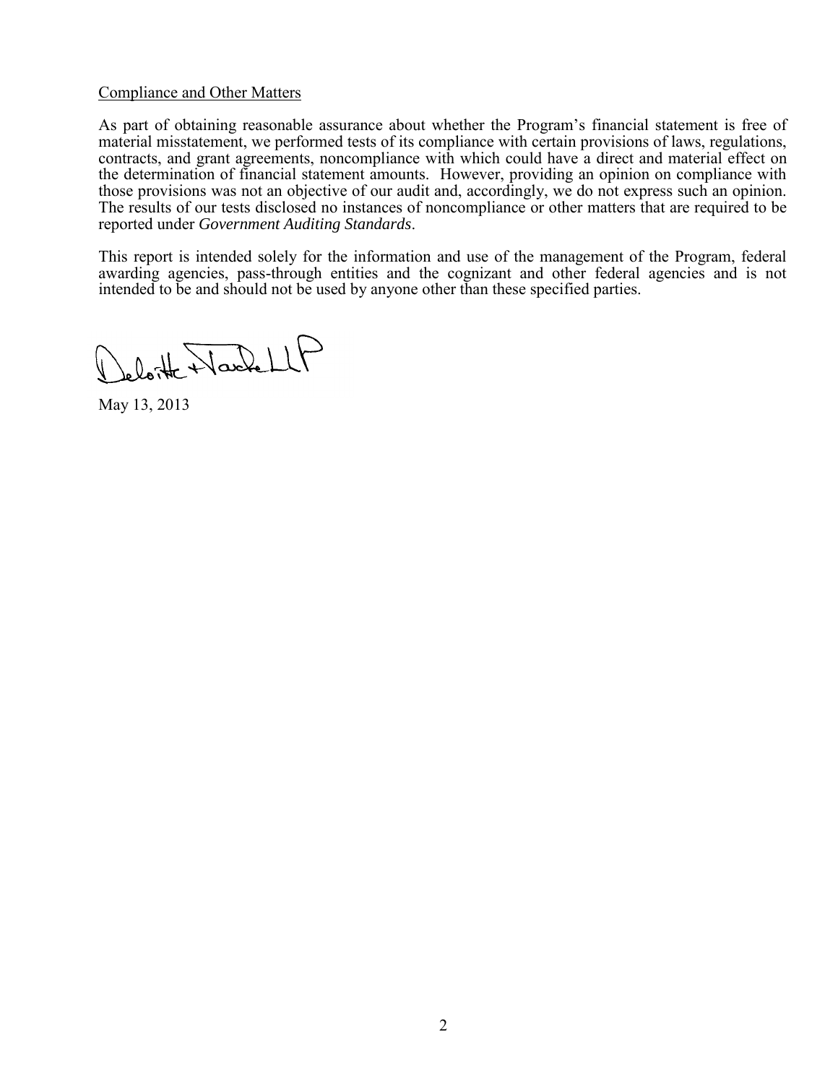#### Compliance and Other Matters

As part of obtaining reasonable assurance about whether the Program's financial statement is free of material misstatement, we performed tests of its compliance with certain provisions of laws, regulations, contracts, and grant agreements, noncompliance with which could have a direct and material effect on the determination of financial statement amounts. However, providing an opinion on compliance with those provisions was not an objective of our audit and, accordingly, we do not express such an opinion. The results of our tests disclosed no instances of noncompliance or other matters that are required to be reported under *Government Auditing Standards*.

This report is intended solely for the information and use of the management of the Program, federal awarding agencies, pass-through entities and the cognizant and other federal agencies and is not intended to be and should not be used by anyone other than these specified parties.

Jeloitte Harlett

May 13, 2013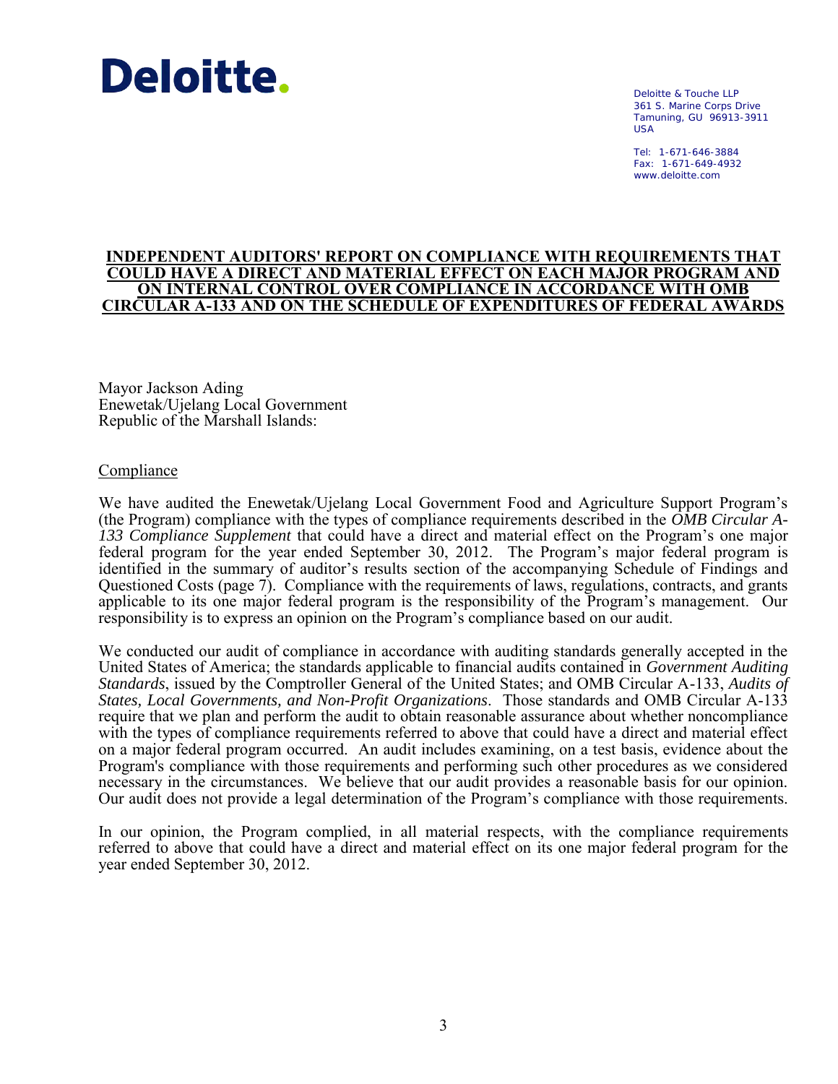# **Deloitte.**

Deloitte & Touche LLP 361 S. Marine Corps Drive Tamuning, GU 96913-3911 USA

Tel: 1-671-646-3884 Fax: 1-671-649-4932 www.deloitte.com

#### **INDEPENDENT AUDITORS' REPORT ON COMPLIANCE WITH REQUIREMENTS THAT COULD HAVE A DIRECT AND MATERIAL EFFECT ON EACH MAJOR PROGRAM AND ON INTERNAL CONTROL OVER COMPLIANCE IN ACCORDANCE WITH OMB CIRCULAR A-133 AND ON THE SCHEDULE OF EXPENDITURES OF FEDERAL AWARDS**

Mayor Jackson Ading Enewetak/Ujelang Local Government Republic of the Marshall Islands:

### Compliance

We have audited the Enewetak/Ujelang Local Government Food and Agriculture Support Program's (the Program) compliance with the types of compliance requirements described in the *OMB Circular A-133 Compliance Supplement* that could have a direct and material effect on the Program's one major federal program for the year ended September 30, 2012. The Program's major federal program is identified in the summary of auditor's results section of the accompanying Schedule of Findings and Questioned Costs (page 7). Compliance with the requirements of laws, regulations, contracts, and grants applicable to its one major federal program is the responsibility of the Program's management. Our responsibility is to express an opinion on the Program's compliance based on our audit.

We conducted our audit of compliance in accordance with auditing standards generally accepted in the United States of America; the standards applicable to financial audits contained in *Government Auditing Standards*, issued by the Comptroller General of the United States; and OMB Circular A-133, *Audits of States, Local Governments, and Non-Profit Organizations*. Those standards and OMB Circular A-133 require that we plan and perform the audit to obtain reasonable assurance about whether noncompliance with the types of compliance requirements referred to above that could have a direct and material effect on a major federal program occurred. An audit includes examining, on a test basis, evidence about the Program's compliance with those requirements and performing such other procedures as we considered necessary in the circumstances. We believe that our audit provides a reasonable basis for our opinion. Our audit does not provide a legal determination of the Program's compliance with those requirements.

In our opinion, the Program complied, in all material respects, with the compliance requirements referred to above that could have a direct and material effect on its one major federal program for the year ended September 30, 2012.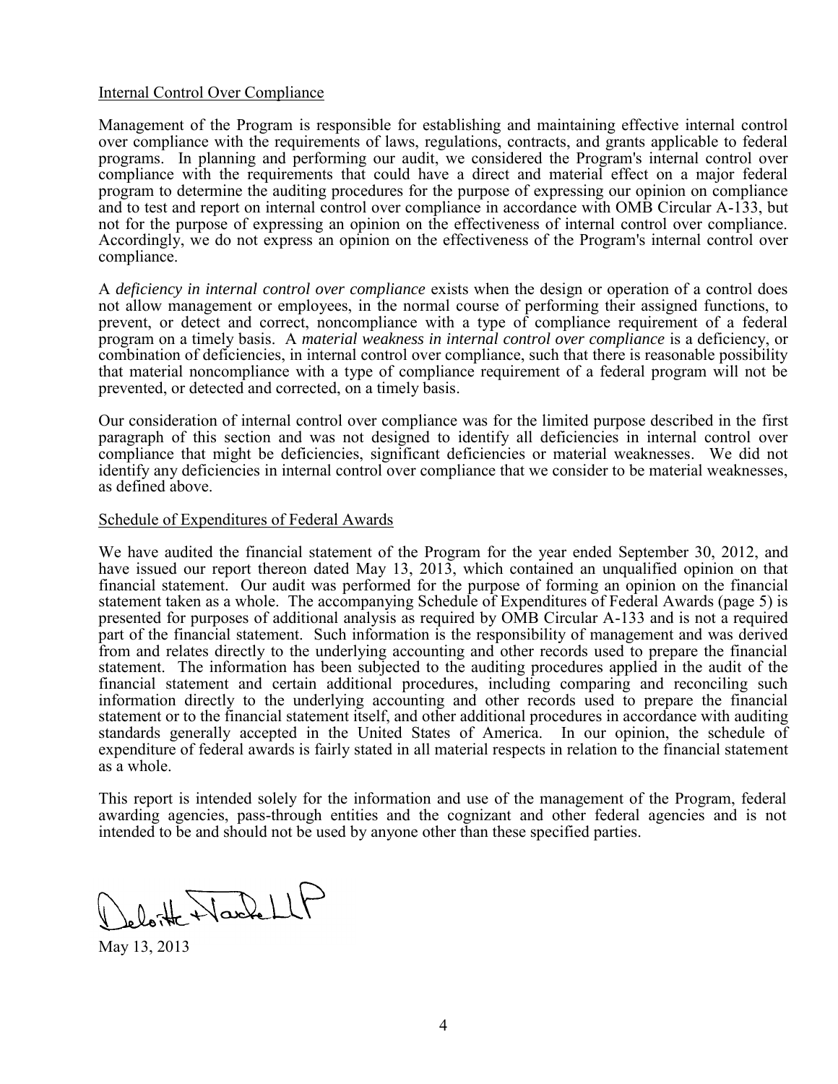#### Internal Control Over Compliance

Management of the Program is responsible for establishing and maintaining effective internal control over compliance with the requirements of laws, regulations, contracts, and grants applicable to federal programs. In planning and performing our audit, we considered the Program's internal control over compliance with the requirements that could have a direct and material effect on a major federal program to determine the auditing procedures for the purpose of expressing our opinion on compliance and to test and report on internal control over compliance in accordance with OMB Circular A-133, but not for the purpose of expressing an opinion on the effectiveness of internal control over compliance. Accordingly, we do not express an opinion on the effectiveness of the Program's internal control over compliance.

A *deficiency in internal control over compliance* exists when the design or operation of a control does not allow management or employees, in the normal course of performing their assigned functions, to prevent, or detect and correct, noncompliance with a type of compliance requirement of a federal program on a timely basis. A *material weakness in internal control over compliance* is a deficiency, or combination of deficiencies, in internal control over compliance, such that there is reasonable possibility that material noncompliance with a type of compliance requirement of a federal program will not be prevented, or detected and corrected, on a timely basis.

Our consideration of internal control over compliance was for the limited purpose described in the first paragraph of this section and was not designed to identify all deficiencies in internal control over compliance that might be deficiencies, significant deficiencies or material weaknesses. We did not identify any deficiencies in internal control over compliance that we consider to be material weaknesses, as defined above.

#### Schedule of Expenditures of Federal Awards

We have audited the financial statement of the Program for the year ended September 30, 2012, and have issued our report thereon dated May 13, 2013, which contained an unqualified opinion on that financial statement. Our audit was performed for the purpose of forming an opinion on the financial statement taken as a whole. The accompanying Schedule of Expenditures of Federal Awards (page 5) is presented for purposes of additional analysis as required by OMB Circular A-133 and is not a required part of the financial statement. Such information is the responsibility of management and was derived from and relates directly to the underlying accounting and other records used to prepare the financial statement. The information has been subjected to the auditing procedures applied in the audit of the financial statement and certain additional procedures, including comparing and reconciling such information directly to the underlying accounting and other records used to prepare the financial statement or to the financial statement itself, and other additional procedures in accordance with auditing standards generally accepted in the United States of America. In our opinion, the schedule of expenditure of federal awards is fairly stated in all material respects in relation to the financial statement as a whole.

This report is intended solely for the information and use of the management of the Program, federal awarding agencies, pass-through entities and the cognizant and other federal agencies and is not intended to be and should not be used by anyone other than these specified parties.

Jeloitte WardellP

May 13, 2013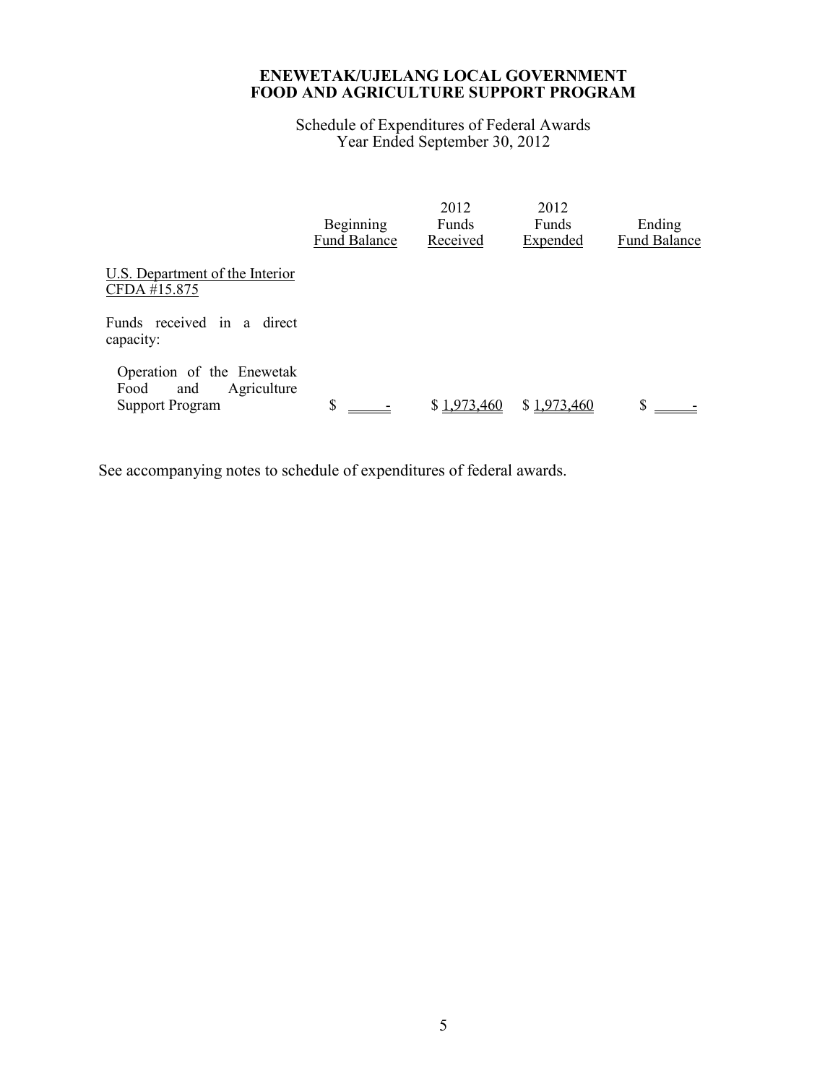Schedule of Expenditures of Federal Awards Year Ended September 30, 2012

|                                                                                   | Beginning<br><b>Fund Balance</b> | 2012<br>Funds<br>Received | 2012<br>Funds<br>Expended | Ending<br><b>Fund Balance</b> |
|-----------------------------------------------------------------------------------|----------------------------------|---------------------------|---------------------------|-------------------------------|
| U.S. Department of the Interior<br>CFDA #15.875                                   |                                  |                           |                           |                               |
| Funds received in a direct<br>capacity:                                           |                                  |                           |                           |                               |
| Operation of the Enewetak<br>Agriculture<br>Food<br>and<br><b>Support Program</b> | \$                               | \$1,973,460               | \$1.973.460               |                               |

See accompanying notes to schedule of expenditures of federal awards.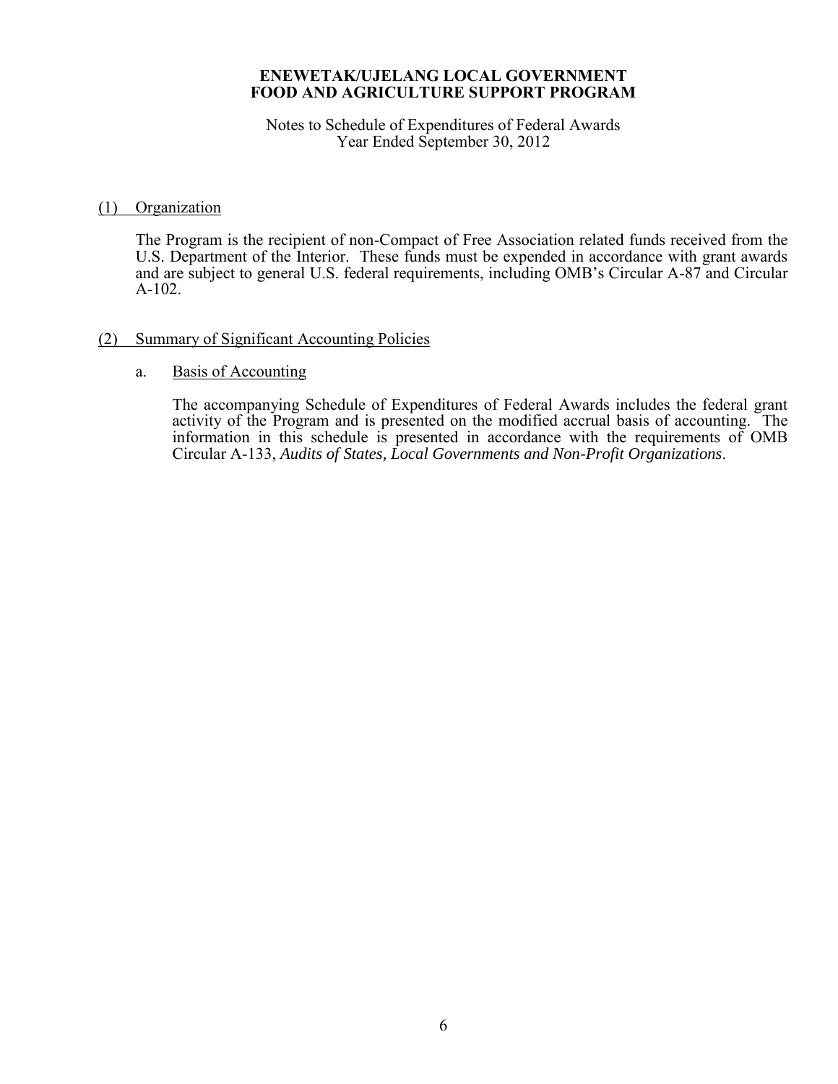Notes to Schedule of Expenditures of Federal Awards Year Ended September 30, 2012

### (1) Organization

 The Program is the recipient of non-Compact of Free Association related funds received from the U.S. Department of the Interior. These funds must be expended in accordance with grant awards and are subject to general U.S. federal requirements, including OMB's Circular A-87 and Circular A-102.

## (2) Summary of Significant Accounting Policies

#### a. Basis of Accounting

The accompanying Schedule of Expenditures of Federal Awards includes the federal grant activity of the Program and is presented on the modified accrual basis of accounting. The information in this schedule is presented in accordance with the requirements of OMB Circular A-133, *Audits of States, Local Governments and Non-Profit Organizations*.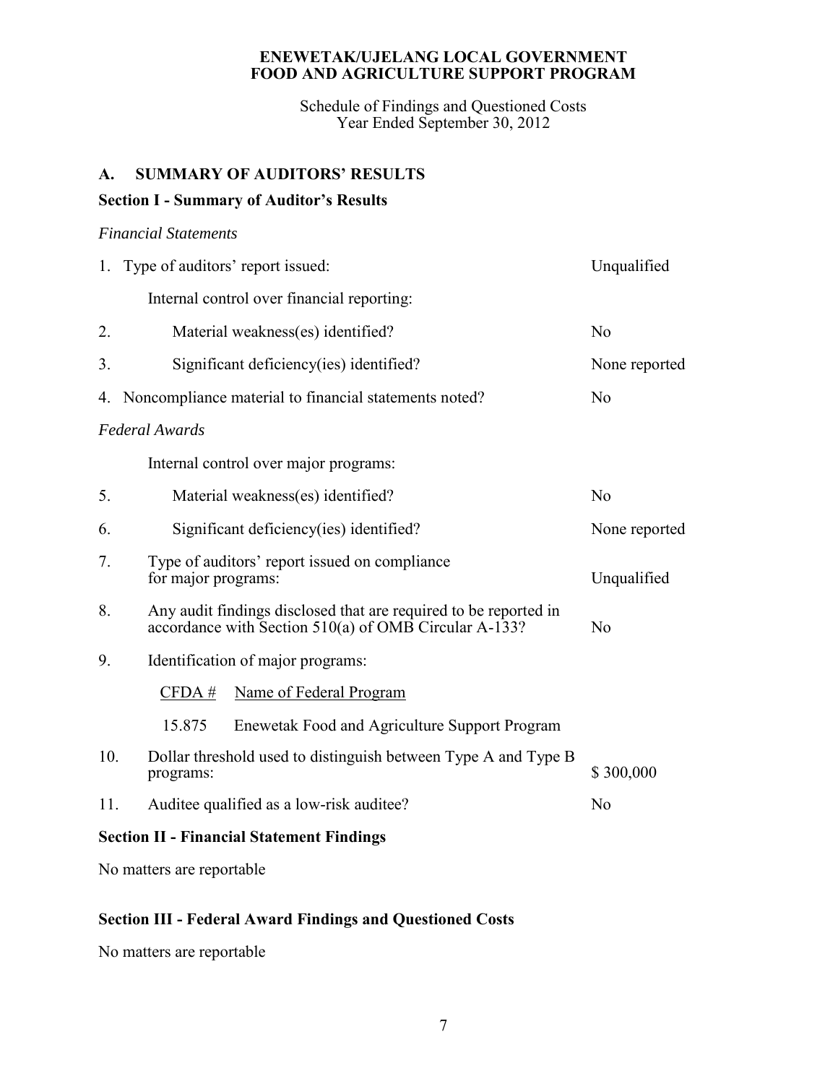Schedule of Findings and Questioned Costs Year Ended September 30, 2012

# **A. SUMMARY OF AUDITORS' RESULTS**

# **Section I - Summary of Auditor's Results**

## *Financial Statements*

|                                                  | 1. Type of auditors' report issued:                                                                                       | Unqualified    |  |  |  |
|--------------------------------------------------|---------------------------------------------------------------------------------------------------------------------------|----------------|--|--|--|
|                                                  | Internal control over financial reporting:                                                                                |                |  |  |  |
| 2.                                               | Material weakness(es) identified?                                                                                         | N <sub>o</sub> |  |  |  |
| 3.                                               | Significant deficiency(ies) identified?                                                                                   | None reported  |  |  |  |
| 4.                                               | Noncompliance material to financial statements noted?                                                                     | N <sub>0</sub> |  |  |  |
| <b>Federal Awards</b>                            |                                                                                                                           |                |  |  |  |
|                                                  | Internal control over major programs:                                                                                     |                |  |  |  |
| 5.                                               | Material weakness(es) identified?                                                                                         | No             |  |  |  |
| 6.                                               | Significant deficiency(ies) identified?                                                                                   | None reported  |  |  |  |
| 7.                                               | Type of auditors' report issued on compliance<br>for major programs:                                                      | Unqualified    |  |  |  |
| 8.                                               | Any audit findings disclosed that are required to be reported in<br>accordance with Section 510(a) of OMB Circular A-133? | N <sub>o</sub> |  |  |  |
| 9.                                               | Identification of major programs:                                                                                         |                |  |  |  |
|                                                  | Name of Federal Program<br>CFDA#                                                                                          |                |  |  |  |
|                                                  | 15.875<br>Enewetak Food and Agriculture Support Program                                                                   |                |  |  |  |
| 10.                                              | Dollar threshold used to distinguish between Type A and Type B<br>programs:                                               | \$300,000      |  |  |  |
| 11.                                              | Auditee qualified as a low-risk auditee?                                                                                  | N <sub>o</sub> |  |  |  |
| <b>Section II - Financial Statement Findings</b> |                                                                                                                           |                |  |  |  |

No matters are reportable

# **Section III - Federal Award Findings and Questioned Costs**

No matters are reportable